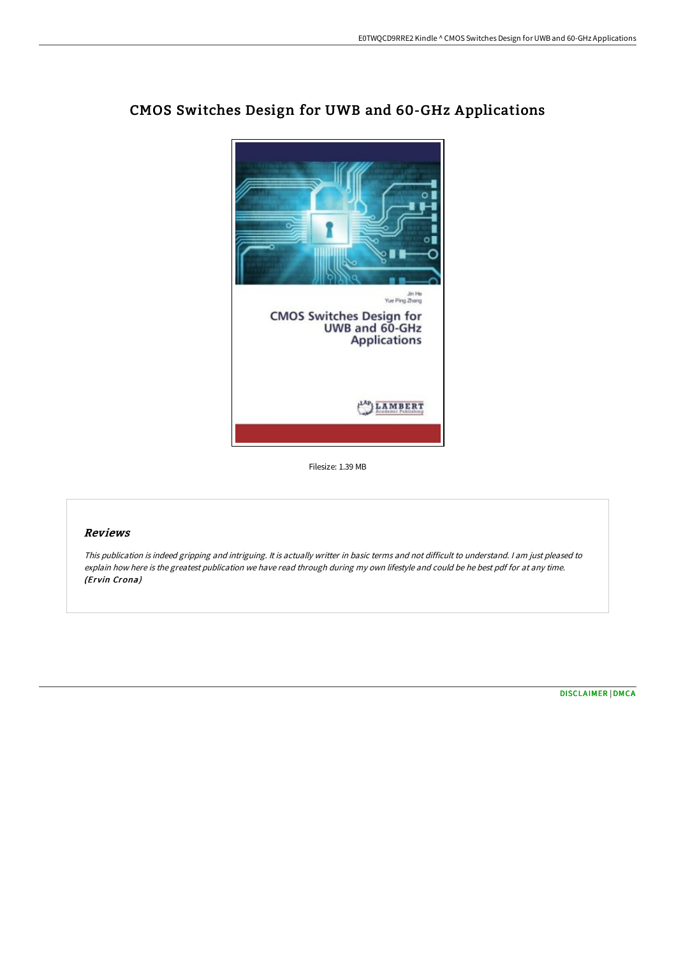

# CMOS Switches Design for UWB and 60-GHz Applications

Filesize: 1.39 MB

# Reviews

This publication is indeed gripping and intriguing. It is actually writter in basic terms and not difficult to understand. <sup>I</sup> am just pleased to explain how here is the greatest publication we have read through during my own lifestyle and could be he best pdf for at any time. (Ervin Crona)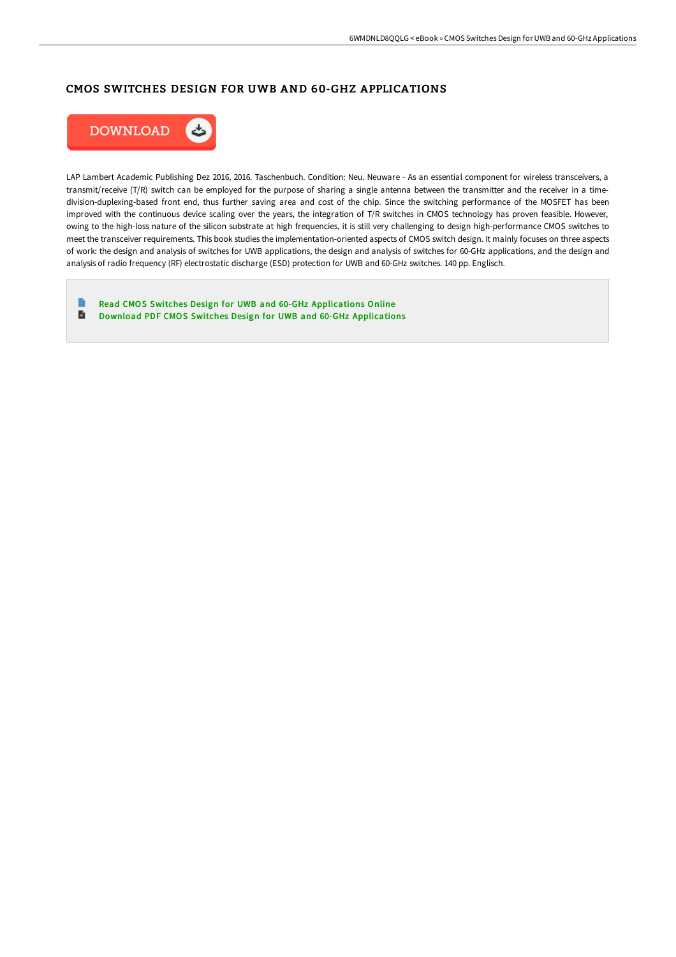### CMOS SWITCHES DESIGN FOR UWB AND 60-GHZ APPLICATIONS



LAP Lambert Academic Publishing Dez 2016, 2016. Taschenbuch. Condition: Neu. Neuware - As an essential component for wireless transceivers, a transmit/receive (T/R) switch can be employed for the purpose of sharing a single antenna between the transmitter and the receiver in a timedivision-duplexing-based front end, thus further saving area and cost of the chip. Since the switching performance of the MOSFET has been improved with the continuous device scaling over the years, the integration of T/R switches in CMOS technology has proven feasible. However, owing to the high-loss nature of the silicon substrate at high frequencies, it is still very challenging to design high-performance CMOS switches to meet the transceiver requirements. This book studies the implementation-oriented aspects of CMOS switch design. It mainly focuses on three aspects of work: the design and analysis of switches for UWB applications, the design and analysis of switches for 60-GHz applications, and the design and analysis of radio frequency (RF) electrostatic discharge (ESD) protection for UWB and 60-GHz switches. 140 pp. Englisch.

Read CMOS Switches Design for UWB and 60-GHz [Applications](http://www.dailydocs.site/cmos-switches-design-for-uwb-and-60-ghz-applicat.html) Online  $\blacksquare$ Download PDF CMOS Switches Design for UWB and 60-GHz [Applications](http://www.dailydocs.site/cmos-switches-design-for-uwb-and-60-ghz-applicat.html)